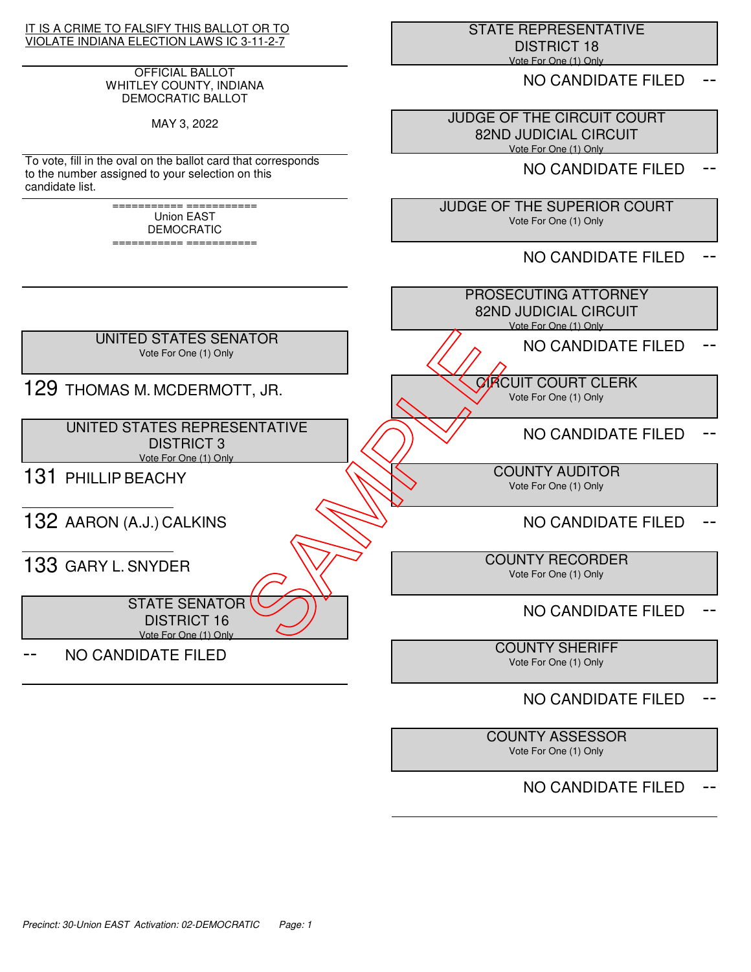## IT IS A CRIME TO FALSIFY THIS BALLOT OR TO VIOLATE INDIANA ELECTION LAWS IC 3-11-2-7

## OFFICIAL BALLOT WHITLEY COUNTY, INDIANA DEMOCRATIC BALLOT

MAY 3, 2022

To vote, fill in the oval on the ballot card that corresponds to the number assigned to your selection on this candidate list.

> =========== =========== Union EAST DEMOCRATIC

=========== ===========

 STATE REPRESENTATIVE DISTRICT 18 Vote For One (1) Only

NO CANDIDATE FILED

 JUDGE OF THE CIRCUIT COURT 82ND JUDICIAL CIRCUIT Vote For One (1) Only

NO CANDIDATE FILED

 JUDGE OF THE SUPERIOR COURT Vote For One (1) Only

NO CANDIDATE FILED



# NO CANDIDATE FILED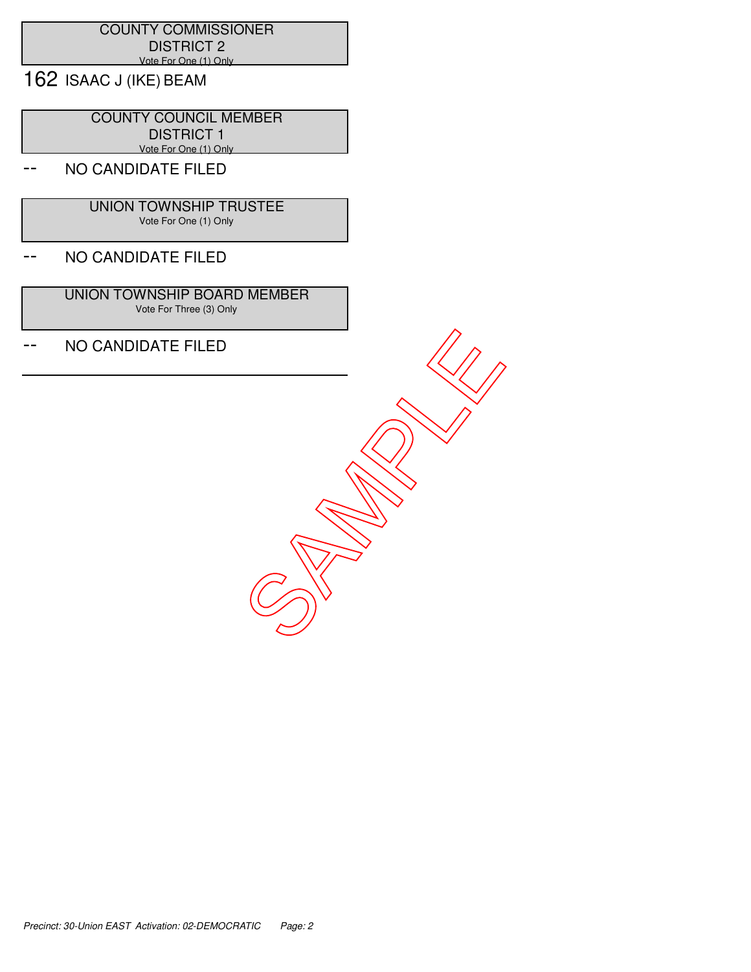## COUNTY COMMISSIONER DISTRICT 2 Vote For One (1) Only

162 ISAAC J (IKE) BEAM

 COUNTY COUNCIL MEMBER DISTRICT 1 Vote For One (1) Only

# NO CANDIDATE FILED

 UNION TOWNSHIP TRUSTEE Vote For One (1) Only

## -- NO CANDIDATE FILED

 UNION TOWNSHIP BOARD MEMBER Vote For Three (3) Only

-- NO CANDIDATE FILED